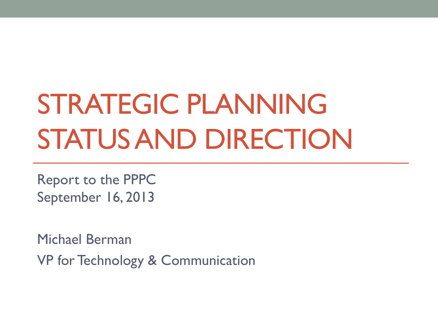# STRATEGIC PLANNING STATUS AND DIRECTION

Report to the PPPC September 16, 2013

Michael Berman

VP for Technology & Communication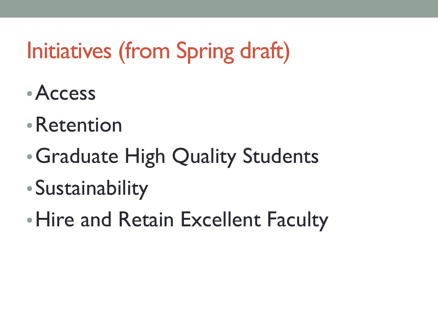# Initiatives (from Spring draft)

- •Access
- •Retention
- •Graduate High Quality Students
- •Sustainability
- Hire and Retain Excellent Faculty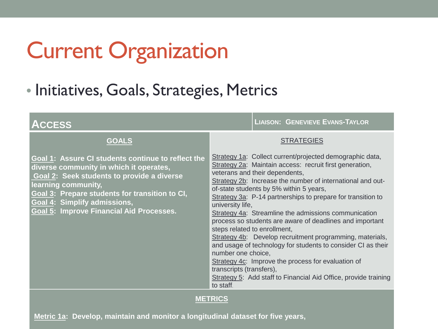# Current Organization

#### • Initiatives, Goals, Strategies, Metrics

| <b>ACCESS</b>                                                                                                                                                                                                                                                                                    | <b>LIAISON: GENEVIEVE EVANS-TAYLOR</b>                                                                                                                                                                                                                                                                                                                                                                                                                                                                                                                                                                                                                                                                                                                                                                                    |  |
|--------------------------------------------------------------------------------------------------------------------------------------------------------------------------------------------------------------------------------------------------------------------------------------------------|---------------------------------------------------------------------------------------------------------------------------------------------------------------------------------------------------------------------------------------------------------------------------------------------------------------------------------------------------------------------------------------------------------------------------------------------------------------------------------------------------------------------------------------------------------------------------------------------------------------------------------------------------------------------------------------------------------------------------------------------------------------------------------------------------------------------------|--|
| <b>GOALS</b>                                                                                                                                                                                                                                                                                     | <b>STRATEGIES</b>                                                                                                                                                                                                                                                                                                                                                                                                                                                                                                                                                                                                                                                                                                                                                                                                         |  |
| Goal 1: Assure CI students continue to reflect the<br>diverse community in which it operates,<br>Goal 2: Seek students to provide a diverse<br>learning community,<br>Goal 3: Prepare students for transition to CI,<br>Goal 4: Simplify admissions,<br>Goal 5: Improve Financial Aid Processes. | Strategy 1a: Collect current/projected demographic data,<br>Strategy 2a: Maintain access: recruit first generation,<br>veterans and their dependents,<br>Strategy 2b: Increase the number of international and out-<br>of-state students by 5% within 5 years,<br>Strategy 3a: P-14 partnerships to prepare for transition to<br>university life,<br>Strategy 4a: Streamline the admissions communication<br>process so students are aware of deadlines and important<br>steps related to enrollment,<br>Strategy 4b: Develop recruitment programming, materials,<br>and usage of technology for students to consider CI as their<br>number one choice,<br>Strategy 4c: Improve the process for evaluation of<br>transcripts (transfers),<br>Strategy 5: Add staff to Financial Aid Office, provide training<br>to staff. |  |
| <b>METRICS</b>                                                                                                                                                                                                                                                                                   |                                                                                                                                                                                                                                                                                                                                                                                                                                                                                                                                                                                                                                                                                                                                                                                                                           |  |

**Metric 1a: Develop, maintain and monitor a longitudinal dataset for five years,**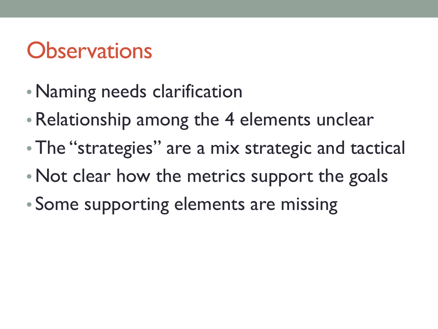# **Observations**

- Naming needs clarification
- Relationship among the 4 elements unclear
- The "strategies" are a mix strategic and tactical
- Not clear how the metrics support the goals
- Some supporting elements are missing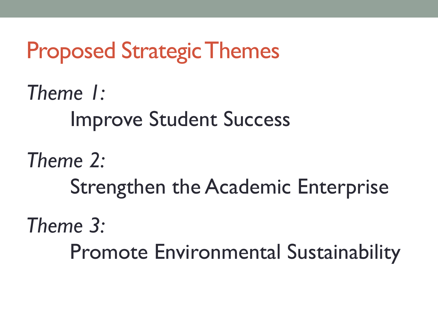Proposed Strategic Themes *Theme 1:*  Improve Student Success *Theme 2:*  Strengthen the Academic Enterprise *Theme 3:* Promote Environmental Sustainability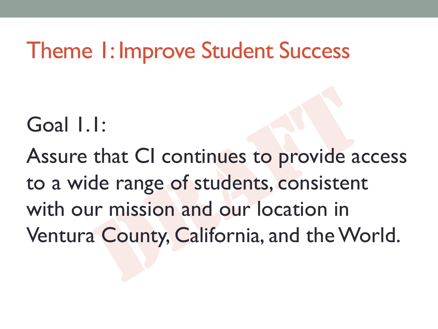### Theme 1: Improve Student Success

Goal 1.1:

Assure that CI continues to provide access to a wide range of students, consistent with our mission and our location in Ventura County, California, and the World.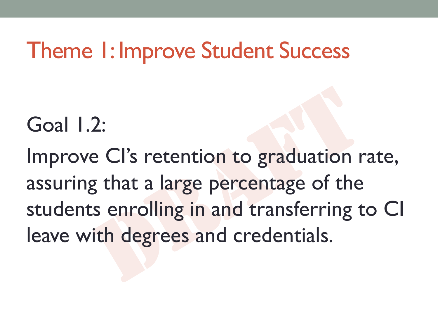### Theme 1: Improve Student Success

Goal 1.2:

Improve CI's retention to graduation rate, assuring that a large percentage of the students enrolling in and transferring to CI leave with degrees and credentials.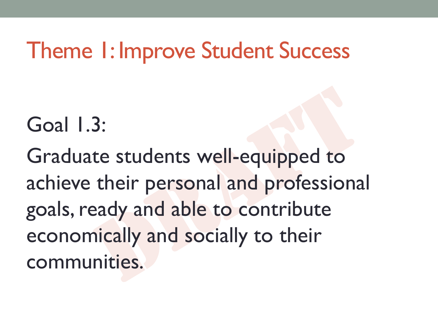### Theme 1: Improve Student Success

Goal 1.3:

Graduate students well-equipped to achieve their personal and professional goals, ready and able to contribute economically and socially to their communities.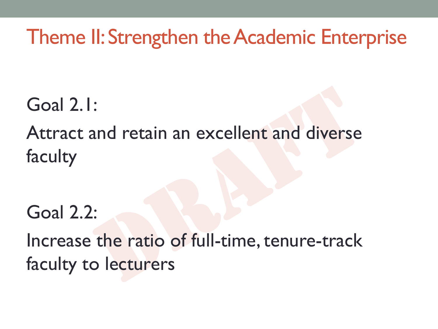#### Theme II: Strengthen the Academic Enterprise

Goal 2.1:

Attract and retain an excellent and diverse faculty

Goal 2.2:

Increase the ratio of full-time, tenure-track faculty to lecturers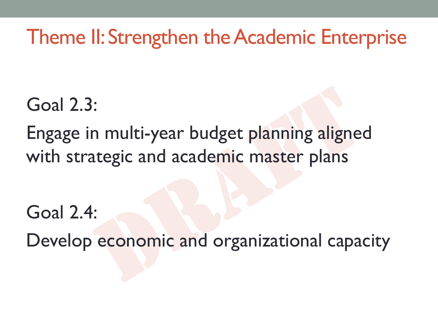#### Theme II: Strengthen the Academic Enterprise

Goal 2.3:

Engage in multi-year budget planning aligned with strategic and academic master plans

Goal 2.4:

Develop economic and organizational capacity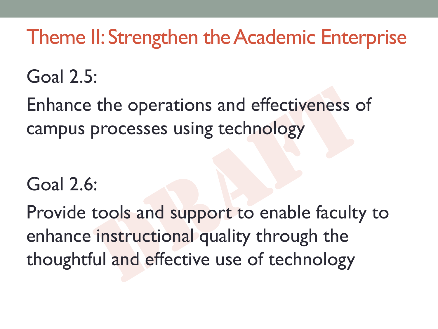#### Theme II: Strengthen the Academic Enterprise

#### Goal 2.5:

Enhance the operations and effectiveness of campus processes using technology

#### Goal 2.6:

Provide tools and support to enable faculty to enhance instructional quality through the thoughtful and effective use of technology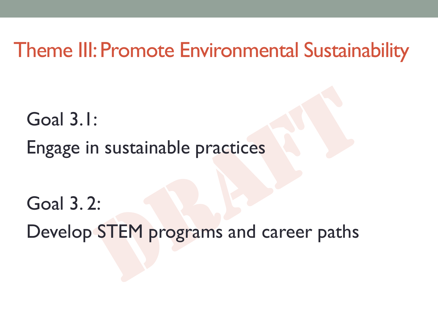#### Theme III: Promote Environmental Sustainability

Goal 3.1: Engage in sustainable practices

Goal 3. 2:

Develop STEM programs and career paths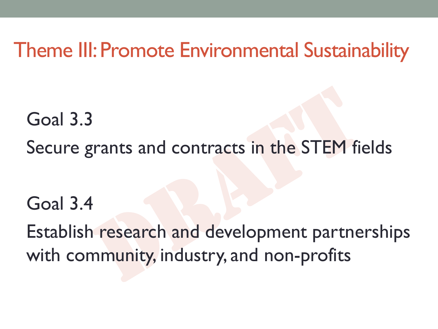#### Theme III: Promote Environmental Sustainability

Goal 3.3 Secure grants and contracts in the STEM fields

Goal 3.4

Establish research and development partnerships with community, industry, and non-profits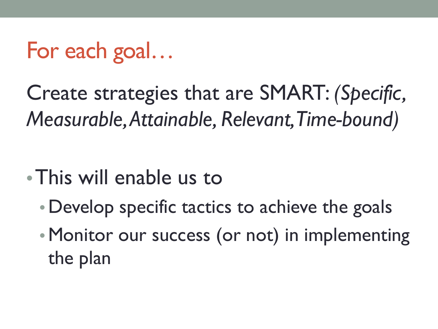# For each goal…

Create strategies that are SMART: *(Specific, Measurable, Attainable, Relevant, Time-bound)*

- •This will enable us to
	- Develop specific tactics to achieve the goals
	- Monitor our success (or not) in implementing the plan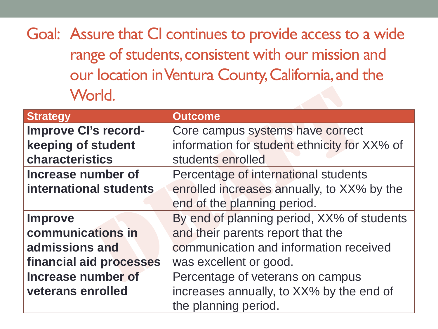Goal: Assure that CI continues to provide access to a wide range of students, consistent with our mission and our location in Ventura County, California, and the World.

| <b>Strategy</b>             | <b>Outcome</b>                               |
|-----------------------------|----------------------------------------------|
| <b>Improve Cl's record-</b> | Core campus systems have correct             |
| keeping of student          | information for student ethnicity for XX% of |
| characteristics             | students enrolled                            |
| <b>Increase number of</b>   | Percentage of international students         |
| international students      | enrolled increases annually, to XX% by the   |
|                             | end of the planning period.                  |
| <b>Improve</b>              | By end of planning period, XX% of students   |
| communications in           | and their parents report that the            |
| admissions and              | communication and information received       |
| financial aid processes     | was excellent or good.                       |
| Increase number of          | Percentage of veterans on campus             |
| veterans enrolled           | increases annually, to XX% by the end of     |
|                             | the planning period.                         |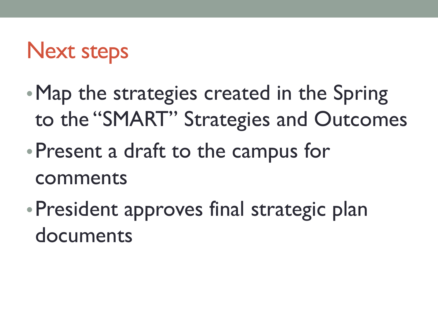## Next steps

- Map the strategies created in the Spring to the "SMART" Strategies and Outcomes
- •Present a draft to the campus for comments
- •President approves final strategic plan documents